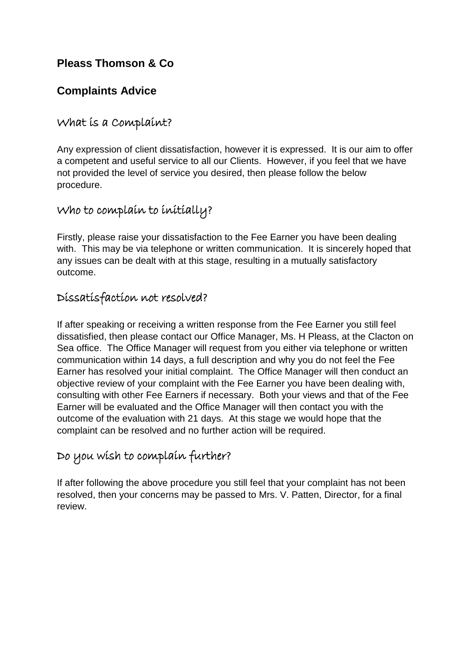# **Pleass Thomson & Co**

## **Complaints Advice**

#### What is a Complaint?

Any expression of client dissatisfaction, however it is expressed. It is our aim to offer a competent and useful service to all our Clients. However, if you feel that we have not provided the level of service you desired, then please follow the below procedure.

## Who to complain to initially?

Firstly, please raise your dissatisfaction to the Fee Earner you have been dealing with. This may be via telephone or written communication. It is sincerely hoped that any issues can be dealt with at this stage, resulting in a mutually satisfactory outcome.

### Dissatisfaction not resolved?

If after speaking or receiving a written response from the Fee Earner you still feel dissatisfied, then please contact our Office Manager, Ms. H Pleass, at the Clacton on Sea office. The Office Manager will request from you either via telephone or written communication within 14 days, a full description and why you do not feel the Fee Earner has resolved your initial complaint. The Office Manager will then conduct an objective review of your complaint with the Fee Earner you have been dealing with, consulting with other Fee Earners if necessary. Both your views and that of the Fee Earner will be evaluated and the Office Manager will then contact you with the outcome of the evaluation with 21 days. At this stage we would hope that the complaint can be resolved and no further action will be required.

# Do you wish to complain further?

If after following the above procedure you still feel that your complaint has not been resolved, then your concerns may be passed to Mrs. V. Patten, Director, for a final review.